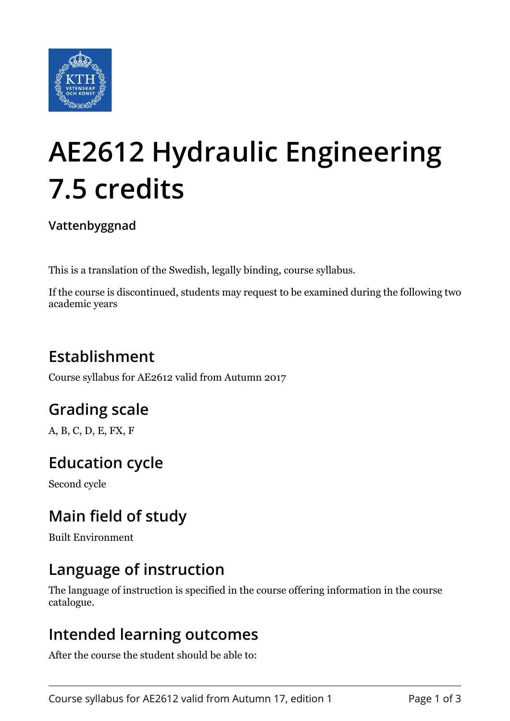

# **AE2612 Hydraulic Engineering 7.5 credits**

#### **Vattenbyggnad**

This is a translation of the Swedish, legally binding, course syllabus.

If the course is discontinued, students may request to be examined during the following two academic years

## **Establishment**

Course syllabus for AE2612 valid from Autumn 2017

## **Grading scale**

A, B, C, D, E, FX, F

## **Education cycle**

Second cycle

## **Main field of study**

Built Environment

### **Language of instruction**

The language of instruction is specified in the course offering information in the course catalogue.

#### **Intended learning outcomes**

After the course the student should be able to: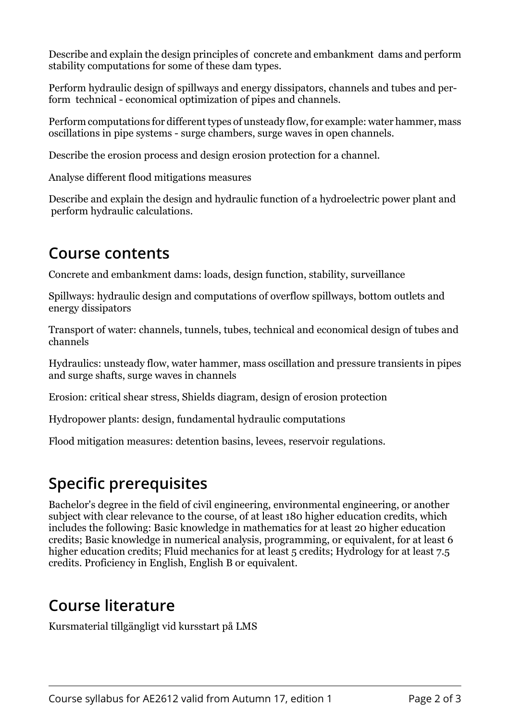Describe and explain the design principles of concrete and embankment dams and perform stability computations for some of these dam types.

Perform hydraulic design of spillways and energy dissipators, channels and tubes and perform technical - economical optimization of pipes and channels.

Perform computations for different types of unsteady flow, for example: water hammer, mass oscillations in pipe systems - surge chambers, surge waves in open channels.

Describe the erosion process and design erosion protection for a channel.

Analyse different flood mitigations measures

Describe and explain the design and hydraulic function of a hydroelectric power plant and perform hydraulic calculations.

#### **Course contents**

Concrete and embankment dams: loads, design function, stability, surveillance

Spillways: hydraulic design and computations of overflow spillways, bottom outlets and energy dissipators

Transport of water: channels, tunnels, tubes, technical and economical design of tubes and channels

Hydraulics: unsteady flow, water hammer, mass oscillation and pressure transients in pipes and surge shafts, surge waves in channels

Erosion: critical shear stress, Shields diagram, design of erosion protection

Hydropower plants: design, fundamental hydraulic computations

Flood mitigation measures: detention basins, levees, reservoir regulations.

## **Specific prerequisites**

Bachelor's degree in the field of civil engineering, environmental engineering, or another subject with clear relevance to the course, of at least 180 higher education credits, which includes the following: Basic knowledge in mathematics for at least 20 higher education credits; Basic knowledge in numerical analysis, programming, or equivalent, for at least 6 higher education credits; Fluid mechanics for at least 5 credits; Hydrology for at least 7.5 credits. Proficiency in English, English B or equivalent.

#### **Course literature**

Kursmaterial tillgängligt vid kursstart på LMS